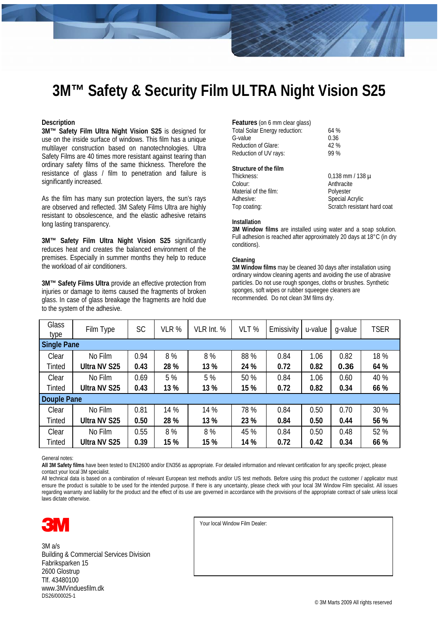## **3M™ Safety & Security Film ULTRA Night Vision S25**

#### **Description**

**3M™ Safety Film Ultra Night Vision S25** is designed for use on the inside surface of windows. This film has a unique multilayer construction based on nanotechnologies. Ultra Safety Films are 40 times more resistant against tearing than ordinary safety films of the same thickness. Therefore the resistance of glass / film to penetration and failure is significantly increased.

As the film has many sun protection layers, the sun's rays are observed and reflected. 3M Safety Films Ultra are highly resistant to obsolescence, and the elastic adhesive retains long lasting transparency.

**3M™ Safety Film Ultra Night Vision S25** significantly reduces heat and creates the balanced environment of the premises. Especially in summer months they help to reduce the workload of air conditioners.

**3M™ Safety Films Ultra** provide an effective protection from injuries or damage to items caused the fragments of broken glass. In case of glass breakage the fragments are hold due to the system of the adhesive.

| <b>Features</b> (on 6 mm clear glass) |      |
|---------------------------------------|------|
| Total Solar Energy reduction:         | 64%  |
| G-value                               | 0.36 |
| <b>Reduction of Glare:</b>            | 42%  |
| Reduction of UV rays:                 | 99 % |
|                                       |      |

#### **Structure of the film**

| Thickness:            | $0.138$ mm / 138 $\mu$      |
|-----------------------|-----------------------------|
| Colour:               | Anthracite                  |
| Material of the film: | Polyester                   |
| Adhesive:             | <b>Special Acrylic</b>      |
| Top coating:          | Scratch resistant hard coat |
|                       |                             |

### **Installation**

**3M Window films** are installed using water and a soap solution. Full adhesion is reached after approximately 20 days at 18°C (in dry conditions).

#### **Cleaning**

**3M Window films** may be cleaned 30 days after installation using ordinary window cleaning agents and avoiding the use of abrasive particles. Do not use rough sponges, cloths or brushes. Synthetic sponges, soft wipes or rubber squeegee cleaners are recommended. Do not clean 3M films dry.

| <b>Glass</b><br>type | Film Type           | <b>SC</b> | VLR % | VLR Int. % | VLT % | Emissivity | u-value | q-value | <b>TSER</b> |  |
|----------------------|---------------------|-----------|-------|------------|-------|------------|---------|---------|-------------|--|
| <b>Single Pane</b>   |                     |           |       |            |       |            |         |         |             |  |
| Clear                | No Film             | 0.94      | 8%    | 8%         | 88 %  | 0.84       | 1.06    | 0.82    | 18 %        |  |
| <b>Tinted</b>        | <b>Ultra NV S25</b> | 0.43      | 28 %  | 13 %       | 24 %  | 0.72       | 0.82    | 0.36    | 64 %        |  |
| Clear                | No Film             | 0.69      | 5 %   | 5 %        | 50 %  | 0.84       | 1.06    | 0.60    | 40 %        |  |
| Tinted               | <b>Ultra NV S25</b> | 0.43      | 13 %  | 13 %       | 15 %  | 0.72       | 0.82    | 0.34    | 66 %        |  |
| Douple Pane          |                     |           |       |            |       |            |         |         |             |  |
| Clear                | No Film             | 0.81      | 14 %  | 14 %       | 78 %  | 0.84       | 0.50    | 0.70    | 30 %        |  |
| <b>Tinted</b>        | <b>Ultra NV S25</b> | 0.50      | 28 %  | 13 %       | 23 %  | 0.84       | 0.50    | 0.44    | 56 %        |  |
| Clear                | No Film             | 0.55      | 8%    | 8%         | 45 %  | 0.84       | 0.50    | 0.48    | 52 %        |  |
| Tinted               | <b>Ultra NV S25</b> | 0.39      | 15 %  | 15 %       | 14 %  | 0.72       | 0.42    | 0.34    | 66 %        |  |

General notes:

**All 3M Safety films** have been tested to EN12600 and/or EN356 as appropriate. For detailed information and relevant certification for any specific project, please contact your local 3M specialist.

All technical data is based on a combination of relevant European test methods and/or US test methods. Before using this product the customer / applicator must ensure the product is suitable to be used for the intended purpose. If there is any uncertainty, please check with your local 3M Window Film specialist. All issues regarding warranty and liability for the product and the effect of its use are governed in accordance with the provisions of the appropriate contract of sale unless local laws dictate otherwise.



3M a/s Building & Commercial Services Division Fabriksparken 15 2600 Glostrup Tlf. 43480100 www.3MVinduesfilm.dk DS26/000025-1

Your local Window Film Dealer: